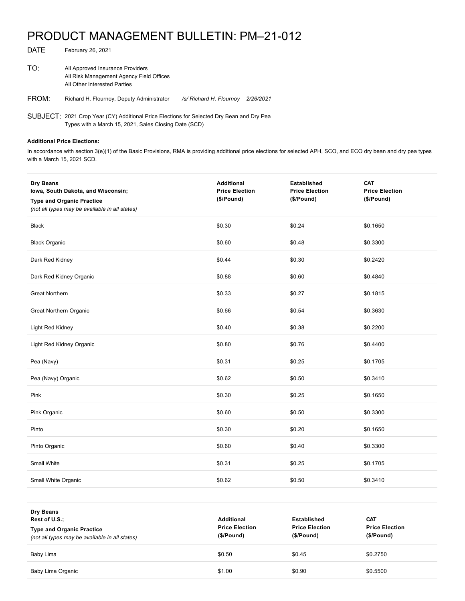## PRODUCT MANAGEMENT BULLETIN: PM–21-012

| TO:   | All Approved Insurance Providers<br>All Risk Management Agency Field Offices<br>All Other Interested Parties |                         |           |
|-------|--------------------------------------------------------------------------------------------------------------|-------------------------|-----------|
| FROM: | Richard H. Flournoy, Deputy Administrator                                                                    | /s/ Richard H. Flournoy | 2/26/2021 |

SUBJECT: 2021 Crop Year (CY) Additional Price Elections for Selected Dry Bean and Dry Pea Types with a March 15, 2021, Sales Closing Date (SCD)

## **Additional Price Elections:**

DATE February 26, 2021

In accordance with section 3(e)(1) of the Basic Provisions, RMA is providing additional price elections for selected APH, SCO, and ECO dry bean and dry pea types with a March 15, 2021 SCD.

| Dry Beans<br>Iowa, South Dakota, and Wisconsin;<br><b>Type and Organic Practice</b><br>(not all types may be available in all states) | <b>Additional</b><br><b>Price Election</b><br>(\$/Pound) | <b>Established</b><br><b>Price Election</b><br>(\$/Pound) | <b>CAT</b><br><b>Price Election</b><br>(\$/Pound) |
|---------------------------------------------------------------------------------------------------------------------------------------|----------------------------------------------------------|-----------------------------------------------------------|---------------------------------------------------|
| <b>Black</b>                                                                                                                          | \$0.30                                                   | \$0.24                                                    | \$0.1650                                          |
| <b>Black Organic</b>                                                                                                                  | \$0.60                                                   | \$0.48                                                    | \$0.3300                                          |
| Dark Red Kidney                                                                                                                       | \$0.44                                                   | \$0.30                                                    | \$0.2420                                          |
| Dark Red Kidney Organic                                                                                                               | \$0.88                                                   | \$0.60                                                    | \$0.4840                                          |
| <b>Great Northern</b>                                                                                                                 | \$0.33                                                   | \$0.27                                                    | \$0.1815                                          |
| Great Northern Organic                                                                                                                | \$0.66                                                   | \$0.54                                                    | \$0.3630                                          |
| Light Red Kidney                                                                                                                      | \$0.40                                                   | \$0.38                                                    | \$0.2200                                          |
| Light Red Kidney Organic                                                                                                              | \$0.80                                                   | \$0.76                                                    | \$0.4400                                          |
| Pea (Navy)                                                                                                                            | \$0.31                                                   | \$0.25                                                    | \$0.1705                                          |
| Pea (Navy) Organic                                                                                                                    | \$0.62                                                   | \$0.50                                                    | \$0.3410                                          |
| Pink                                                                                                                                  | \$0.30                                                   | \$0.25                                                    | \$0.1650                                          |
| Pink Organic                                                                                                                          | \$0.60                                                   | \$0.50                                                    | \$0.3300                                          |
| Pinto                                                                                                                                 | \$0.30                                                   | \$0.20                                                    | \$0.1650                                          |
| Pinto Organic                                                                                                                         | \$0.60                                                   | \$0.40                                                    | \$0.3300                                          |
| Small White                                                                                                                           | \$0.31                                                   | \$0.25                                                    | \$0.1705                                          |
| Small White Organic                                                                                                                   | \$0.62                                                   | \$0.50                                                    | \$0.3410                                          |

| <b>Dry Beans</b><br>Rest of U.S.:<br><b>Type and Organic Practice</b><br>(not all types may be available in all states) | <b>Additional</b><br><b>Price Election</b><br>(\$/Pound) | Established<br><b>Price Election</b><br>(\$/Pound) | <b>CAT</b><br><b>Price Election</b><br>(\$/Pound) |
|-------------------------------------------------------------------------------------------------------------------------|----------------------------------------------------------|----------------------------------------------------|---------------------------------------------------|
| Baby Lima                                                                                                               | \$0.50                                                   | \$0.45                                             | \$0.2750                                          |
| Baby Lima Organic                                                                                                       | \$1.00                                                   | \$0.90                                             | \$0.5500                                          |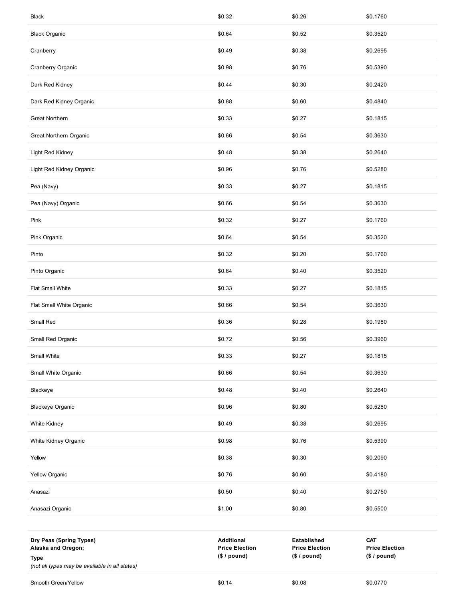| Black                                                                                                          | \$0.32                                                     | \$0.26                                                      | \$0.1760                                            |
|----------------------------------------------------------------------------------------------------------------|------------------------------------------------------------|-------------------------------------------------------------|-----------------------------------------------------|
| <b>Black Organic</b>                                                                                           | \$0.64                                                     | \$0.52                                                      | \$0.3520                                            |
| Cranberry                                                                                                      | \$0.49                                                     | \$0.38                                                      | \$0.2695                                            |
| Cranberry Organic                                                                                              | \$0.98                                                     | \$0.76                                                      | \$0.5390                                            |
| Dark Red Kidney                                                                                                | \$0.44                                                     | \$0.30                                                      | \$0.2420                                            |
| Dark Red Kidney Organic                                                                                        | \$0.88                                                     | \$0.60                                                      | \$0.4840                                            |
| Great Northern                                                                                                 | \$0.33                                                     | \$0.27                                                      | \$0.1815                                            |
| Great Northern Organic                                                                                         | \$0.66                                                     | \$0.54                                                      | \$0.3630                                            |
| Light Red Kidney                                                                                               | \$0.48                                                     | \$0.38                                                      | \$0.2640                                            |
| Light Red Kidney Organic                                                                                       | \$0.96                                                     | \$0.76                                                      | \$0.5280                                            |
| Pea (Navy)                                                                                                     | \$0.33                                                     | \$0.27                                                      | \$0.1815                                            |
| Pea (Navy) Organic                                                                                             | \$0.66                                                     | \$0.54                                                      | \$0.3630                                            |
| Pink                                                                                                           | \$0.32                                                     | \$0.27                                                      | \$0.1760                                            |
| Pink Organic                                                                                                   | \$0.64                                                     | \$0.54                                                      | \$0.3520                                            |
| Pinto                                                                                                          | \$0.32                                                     | \$0.20                                                      | \$0.1760                                            |
| Pinto Organic                                                                                                  | \$0.64                                                     | \$0.40                                                      | \$0.3520                                            |
| Flat Small White                                                                                               | \$0.33                                                     | \$0.27                                                      | \$0.1815                                            |
| Flat Small White Organic                                                                                       | \$0.66                                                     | \$0.54                                                      | \$0.3630                                            |
| Small Red                                                                                                      | \$0.36                                                     | \$0.28                                                      | \$0.1980                                            |
| Small Red Organic                                                                                              | \$0.72                                                     | \$0.56                                                      | \$0.3960                                            |
| Small White                                                                                                    | \$0.33                                                     | \$0.27                                                      | \$0.1815                                            |
| Small White Organic                                                                                            | \$0.66                                                     | \$0.54                                                      | \$0.3630                                            |
| Blackeye                                                                                                       | \$0.48                                                     | \$0.40                                                      | \$0.2640                                            |
| <b>Blackeye Organic</b>                                                                                        | \$0.96                                                     | \$0.80                                                      | \$0.5280                                            |
| White Kidney                                                                                                   | \$0.49                                                     | \$0.38                                                      | \$0.2695                                            |
| White Kidney Organic                                                                                           | \$0.98                                                     | \$0.76                                                      | \$0.5390                                            |
| Yellow                                                                                                         | \$0.38                                                     | \$0.30                                                      | \$0.2090                                            |
| <b>Yellow Organic</b>                                                                                          | \$0.76                                                     | \$0.60                                                      | \$0.4180                                            |
| Anasazi                                                                                                        | \$0.50                                                     | \$0.40                                                      | \$0.2750                                            |
| Anasazi Organic                                                                                                | \$1.00                                                     | \$0.80                                                      | \$0.5500                                            |
|                                                                                                                |                                                            |                                                             |                                                     |
| Dry Peas (Spring Types)<br>Alaska and Oregon;<br><b>Type</b><br>(not all types may be available in all states) | <b>Additional</b><br><b>Price Election</b><br>(\$ / pound) | <b>Established</b><br><b>Price Election</b><br>(\$ / pound) | <b>CAT</b><br><b>Price Election</b><br>(\$ / pound) |
| Smooth Green/Yellow                                                                                            | \$0.14                                                     | \$0.08                                                      | \$0.0770                                            |